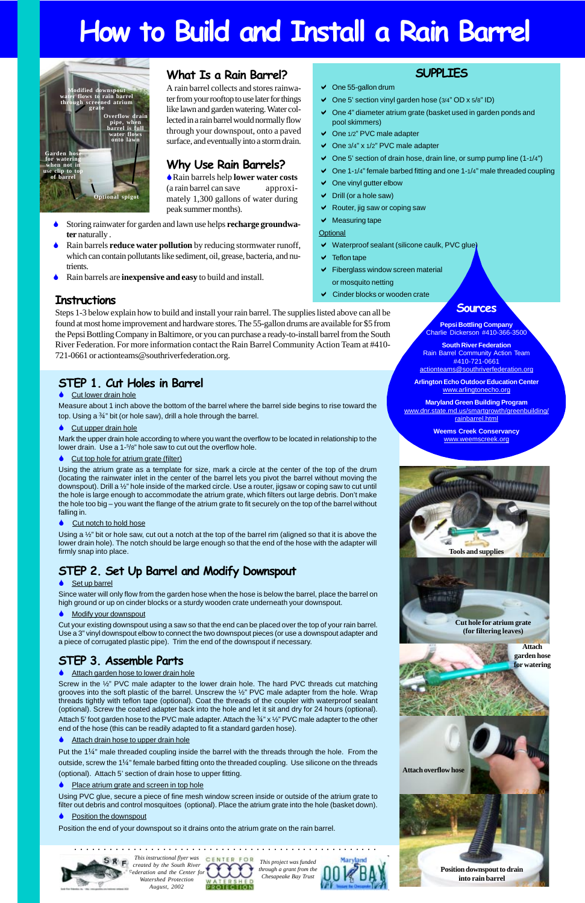# **How to Build and Install a Rain Barrel**

# **STEP 2. Set Up Barrel and Modify Downspout**

### Set up barrel

Since water will only flow from the garden hose when the hose is below the barrel, place the barrel on high ground or up on cinder blocks or a sturdy wooden crate underneath your downspout.

### $\triangle$  Modify your downspout

Measure about 1 inch above the bottom of the barrel where the barrel side begins to rise toward the top. Using a  $\frac{3}{4}$ " bit (or hole saw), drill a hole through the barrel.

### ♦ Cut upper drain hole

Mark the upper drain hole according to where you want the overflow to be located in relationship to the lower drain. Use a 1-<sup>5</sup>/8" hole saw to cut out the overflow hole.

### Cut top hole for atrium grate (filter)

Cut your existing downspout using a saw so that the end can be placed over the top of your rain barrel. Use a 3" vinyl downspout elbow to connect the two downspout pieces (or use a downspout adapter and a piece of corrugated plastic pipe). Trim the end of the downspout if necessary.

## **STEP 1. Cut Holes in Barrel**

### $\bullet$  Cut lower drain hole

Using a  $\frac{1}{2}$ " bit or hole saw, cut out a notch at the top of the barrel rim (aligned so that it is above the lower drain hole). The notch should be large enough so that the end of the hose with the adapter will firmly snap into place.

Using the atrium grate as a template for size, mark a circle at the center of the top of the drum (locating the rainwater inlet in the center of the barrel lets you pivot the barrel without moving the downspout). Drill a ½" hole inside of the marked circle. Use a router, jigsaw or coping saw to cut until the hole is large enough to accommodate the atrium grate, which filters out large debris. Don't make the hole too big – you want the flange of the atrium grate to fit securely on the top of the barrel without falling in.

### $\triangle$  Cut notch to hold hose

Put the  $1/4$ " male threaded coupling inside the barrel with the threads through the hole. From the outside, screw the 1¼" female barbed fitting onto the threaded coupling. Use silicone on the threads (optional). Attach 5' section of drain hose to upper fitting.

### Place atrium grate and screen in top hole

### **STEP 3. Assemble Parts**

Screw in the ½" PVC male adapter to the lower drain hole. The hard PVC threads cut matching grooves into the soft plastic of the barrel. Unscrew the ½" PVC male adapter from the hole. Wrap threads tightly with teflon tape (optional). Coat the threads of the coupler with waterproof sealant (optional). Screw the coated adapter back into the hole and let it sit and dry for 24 hours (optional). Attach 5' foot garden hose to the PVC male adapter. Attach the  $\frac{3}{4}$ " x  $\frac{1}{2}$ " PVC male adapter to the other end of the hose (this can be readily adapted to fit a standard garden hose).

### Attach drain hose to upper drain hole

Using PVC glue, secure a piece of fine mesh window screen inside or outside of the atrium grate to filter out debris and control mosquitoes (optional). Place the atrium grate into the hole (basket down).

**Position the downspout** 

Position the end of your downspout so it drains onto the atrium grate on the rain barrel.



### **What Is a Rain Barrel?**

A rain barrel collects and stores rainwater from your rooftop to use later for things like lawn and garden watering. Water collected in a rain barrel would normally flow through your downspout, onto a paved surface, and eventually into a storm drain.

### **Why Use Rain Barrels?**

!Rain barrels help **lower water costs** (a rain barrel can save approximately 1,300 gallons of water during peak summer months).

# **Instructions**

# Steps 1-3 below explain how to build and install your rain barrel. The supplies listed above can all be found at most home improvement and hardware stores. The 55-gallon drums are available for \$5 from the Pepsi Bottling Company in Baltimore, or you can purchase a ready-to-install barrel from the South River Federation. For more information contact the Rain Barrel Community Action Team at #410-

721-0661 or actionteams@southriverfederation.org.

*This instructional flyer was created by the South River Federation and the Center for Watershed Protection August, 2002*



*This project was funded through a grant from the Chesapeake Bay Trust*



# **Tools and supplies**

**GALIBRAT** 

**Cut hole for atrium grate (for filtering leaves)**

aaaaaaaaaaaaa aaaaaaaaaaaaaaaaaaaaaaaaaaaaaaaaaaaaaaa



**Attach garden hose**

#### ♦ Attach garden hose to lower drain hole



### **SUPPLIES**

- $\vee$  One 55-gallon drum
- One 5' section vinyl garden hose (3/4" OD x 5/8" ID)
- $\vee$  One 4" diameter atrium grate (basket used in garden ponds and pool skimmers)
- ◆ One 1/2" PVC male adapter
- $\vee$  One 3/4" x 1/2" PVC male adapter
- $\vee$  One 5' section of drain hose, drain line, or sump pump line (1-1/4")
- $\vee$  One 1-1/4" female barbed fitting and one 1-1/4" male threaded coupling
- One vinyl gutter elbow
- $\triangleright$  Drill (or a hole saw)
- $\vee$  Router, jig saw or coping saw
- $\vee$  Measuring tape
- **Optional**
- $\vee$  Waterproof sealant (silicone caulk, PVC glue)
- $\blacktriangleright$  Teflon tape
- **Fiberglass window screen material** or mosquito netting
- $\vee$  Cinder blocks or wooden crate

## **Sources**

**Pepsi Bottling Company** Charlie Dickerson #410-366-3500

**South River Federation** Rain Barrel Community Action Team #410-721-0661 actionteams@southriverfederation.org

**Arlington Echo Outdoor Education Center** www.arlingtonecho.org

**Maryland Green Building Program** www.dnr.state.md.us/smartgrowth/greenbuilding/ rainbarrel.html

> **Weems Creek Conservancy** www.weemscreek.org

- ! Storing rainwater for garden and lawn use helps **recharge groundwater** naturally .
- ! Rain barrels **reduce water pollution** by reducing stormwater runoff, which can contain pollutants like sediment, oil, grease, bacteria, and nutrients.
- ! Rain barrels are **inexpensive and easy** to build and install.